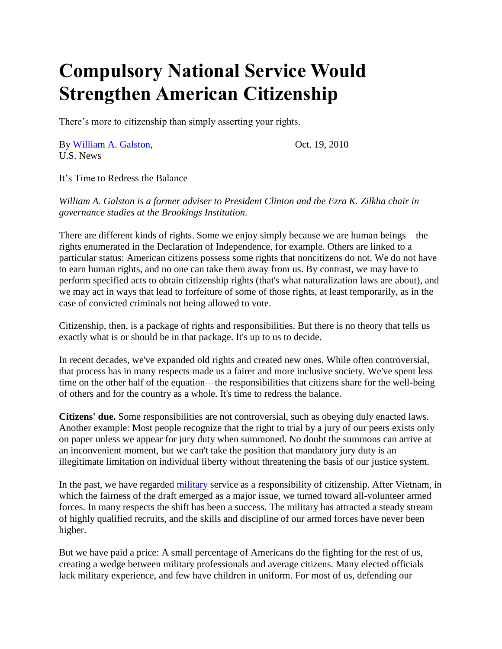## **Compulsory National Service Would Strengthen American Citizenship**

There's more to citizenship than simply asserting your rights.

By [William A. Galston,](https://www.usnews.com/topics/author/william_a_galston) Oct. 19, 2010 U.S. News

It's Time to Redress the Balance

*William A. Galston is a former adviser to President Clinton and the Ezra K. Zilkha chair in governance studies at the Brookings Institution.*

There are different kinds of rights. Some we enjoy simply because we are human beings—the rights enumerated in the Declaration of Independence, for example. Others are linked to a particular status: American citizens possess some rights that noncitizens do not. We do not have to earn human rights, and no one can take them away from us. By contrast, we may have to perform specified acts to obtain citizenship rights (that's what naturalization laws are about), and we may act in ways that lead to forfeiture of some of those rights, at least temporarily, as in the case of convicted criminals not being allowed to vote.

Citizenship, then, is a package of rights and responsibilities. But there is no theory that tells us exactly what is or should be in that package. It's up to us to decide.

In recent decades, we've expanded old rights and created new ones. While often controversial, that process has in many respects made us a fairer and more inclusive society. We've spent less time on the other half of the equation—the responsibilities that citizens share for the well-being of others and for the country as a whole. It's time to redress the balance.

**Citizens' due.** Some responsibilities are not controversial, such as obeying duly enacted laws. Another example: Most people recognize that the right to trial by a jury of our peers exists only on paper unless we appear for jury duty when summoned. No doubt the summons can arrive at an inconvenient moment, but we can't take the position that mandatory jury duty is an illegitimate limitation on individual liberty without threatening the basis of our justice system.

In the past, we have regarded [military](http://politics.usnews.com/topics/subjects/national-security-terrorism-and-the-military) service as a responsibility of citizenship. After Vietnam, in which the fairness of the draft emerged as a major issue, we turned toward all-volunteer armed forces. In many respects the shift has been a success. The military has attracted a steady stream of highly qualified recruits, and the skills and discipline of our armed forces have never been higher.

But we have paid a price: A small percentage of Americans do the fighting for the rest of us, creating a wedge between military professionals and average citizens. Many elected officials lack military experience, and few have children in uniform. For most of us, defending our